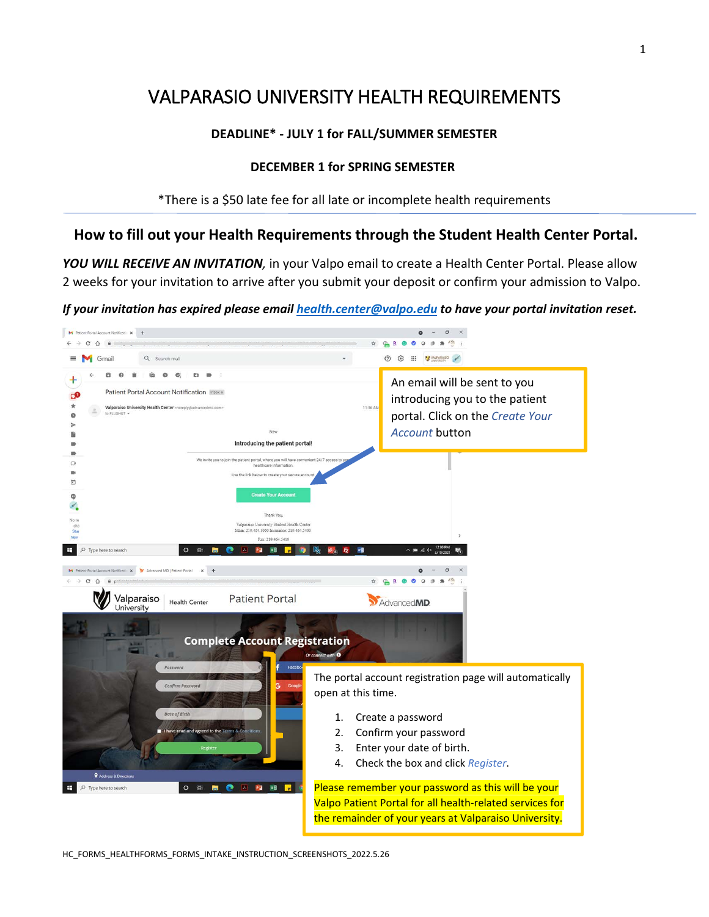# VALPARASIO UNIVERSITY HEALTH REQUIREMENTS

### **DEADLINE\* - JULY 1 for FALL/SUMMER SEMESTER**

#### **DECEMBER 1 for SPRING SEMESTER**

\*There is a \$50 late fee for all late or incomplete health requirements

# **How to fill out your Health Requirements through the Student Health Center Portal.**

*YOU WILL RECEIVE AN INVITATION,* in your Valpo email to create a Health Center Portal. Please allow 2 weeks for your invitation to arrive after you submit your deposit or confirm your admission to Valpo.

*If your invitation has expired please email [health.center@valpo.edu](mailto:health.center@valpo.edu) to have your portal invitation reset.* 

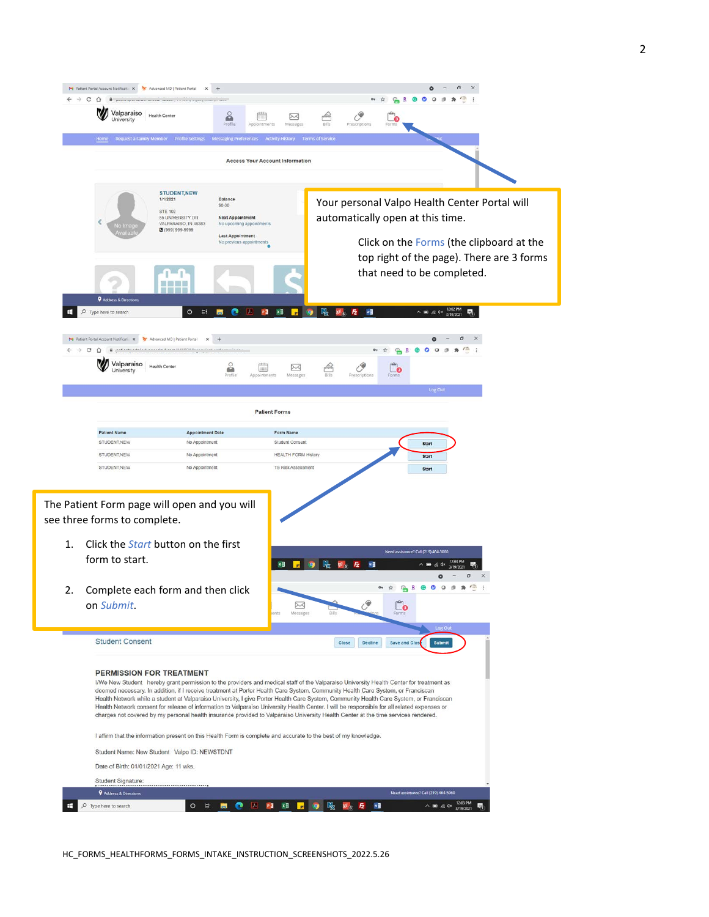

HC\_FORMS\_HEALTHFORMS\_FORMS\_INTAKE\_INSTRUCTION\_SCREENSHOTS\_2022.5.26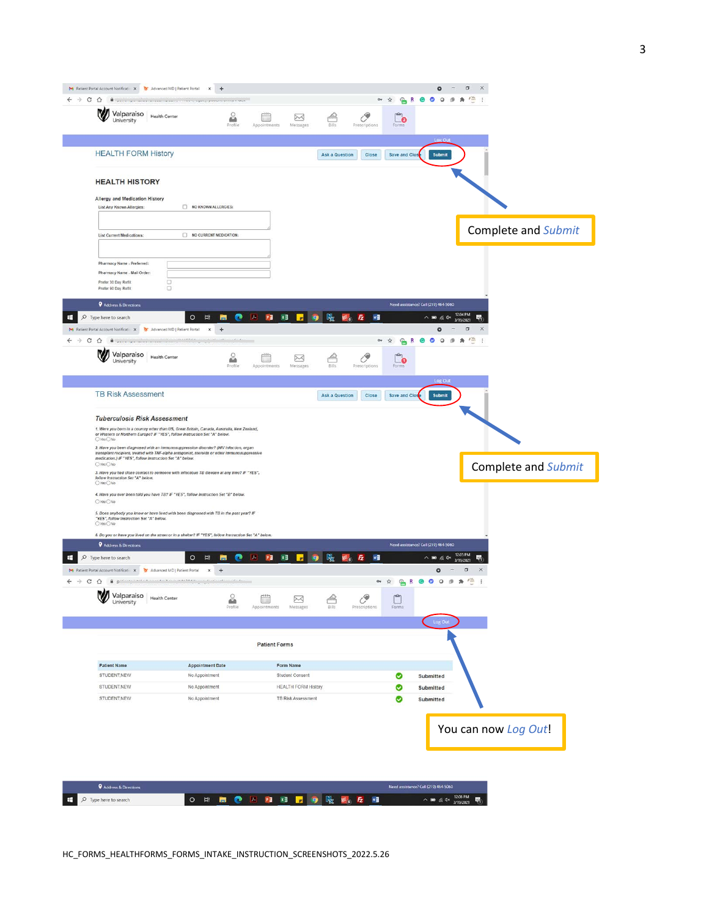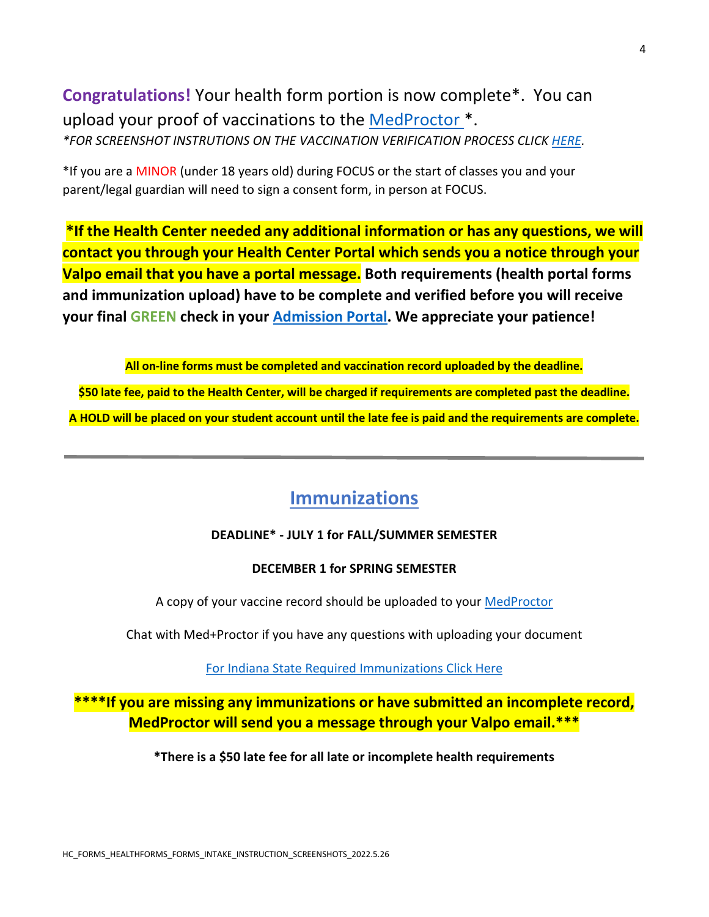# **Congratulations!** Your health form portion is now complete\*. You can upload your proof of vaccinations to the [MedProctor \\*](https://secure.medproctor.com/Account/SignIn). *\*FOR SCREENSHOT INSTRUTIONS ON THE VACCINATION VERIFICATION PROCESS CLICK [HERE.](http://www.valpo.edu/student-health-center/files/2021/12/MedProctor-screen-shots-11.1.2021.pdf)*

\*If you are a MINOR (under 18 years old) during FOCUS or the start of classes you and your parent/legal guardian will need to sign a consent form, in person at FOCUS.

**\*If the Health Center needed any additional information or has any questions, we will contact you through your Health Center Portal which sends you a notice through your Valpo email that you have a portal message. Both requirements (health portal forms and immunization upload) have to be complete and verified before you will receive your final GREEN check in your [Admission Portal.](https://admission.valpo.edu/account/login?r=https%3a%2f%2fadmission.valpo.edu%2fapply%2fstatus) We appreciate your patience!**

**All on-line forms must be completed and vaccination record uploaded by the deadline. \$50 late fee, paid to the Health Center, will be charged if requirements are completed past the deadline. A HOLD will be placed on your student account until the late fee is paid and the requirements are complete.**

# **Immunizations**

# **DEADLINE\* - JULY 1 for FALL/SUMMER SEMESTER**

### **DECEMBER 1 for SPRING SEMESTER**

A copy of your vaccine record should be uploaded to you[r MedProctor](https://secure.medproctor.com/Account/SignIn) 

Chat with Med+Proctor if you have any questions with uploading your document

[For Indiana State Required Immunizations Click Here](https://www.valpo.edu/student-health-center/newly-admitted-students/immunization-requirements-information/)

**\*\*\*\*If you are missing any immunizations or have submitted an incomplete record, MedProctor will send you a message through your Valpo email.\*\*\***

**\*There is a \$50 late fee for all late or incomplete health requirements**